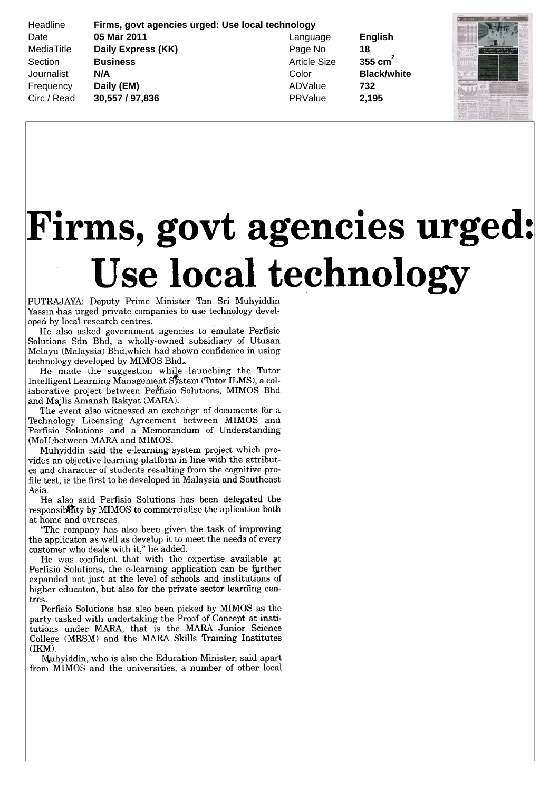Headline **Firms, govt agencies urged: Use local technology** Date **05 Mar 2011** Language **English** MediaTitle **Daily Express (KK)** Page No **18** Section **Business Business** Article Size **355 cm<sup>2</sup>** Journalist **N/A** Color **Black/white** Frequency **Daily (EM) ADValue 732** Circ / Read **30,557 / 97,836** PRValue **2,195**



## Firms, govt agencies urged: Use local technology

PUTRAJAYA: Deputy Prime Minister Tan Sri Muhyiddin Yassin has urged private companies to use technology devel oped by local research centres

He also asked governmen<sup>t</sup> agencies to emulate Perfisio Solutions Sdn Bhd, a wholly-owned subsidiary of Utusan Melayu (Malaysia) Bhd, which had shown confidence in using technology developed by MIMOS Bhd.

He made the suggestion while launching the Tutor Intelligent Learning Management System (Tutor ILMS), a collaborative project between Perfisio Solutions, MIMOS Bhd and Majlis Amanah Rakyat (MARA).

The event also witnessed an exchange of documents for <sup>a</sup> Technology Licensing Agreement between MIMOS and Perfisio Solutions and <sup>a</sup> Memorandum of Understanding (MoU) between MARA and MIMOS.

Muhyiddin said the <sup>e</sup> leaming system project which pro vides an objective learning platform in line with the attribut es and character of students resulting from the cognitive pro file test is the first to be developed in Malaysia and Southeast Asia

He also said Perfisio Solutions has been delegated the responsibility by MIMOS to commercialise the aplication both at home and overseas

The company has also been given the task of improving the applicaton as well as develop it to meet the needs of every customer who deals with it," he added.

He was confident that with the expertise available at Perfisio Solutions, the e-learning application can be further expanded not just at the level of schools and institutions of higher educaton, but also for the private sector learning centres

Perfisio Solutions has also been picked by MIMOS as the party tasked with undertaking the Proof of Concept at insti tutions under MARA, that is the MARA Junior Science College (MRSM) and the MARA Skills Training Institutes IKM

Muhyiddin, who is also the Education Minister, said apart from MIMOS and the universities <sup>a</sup> number of other local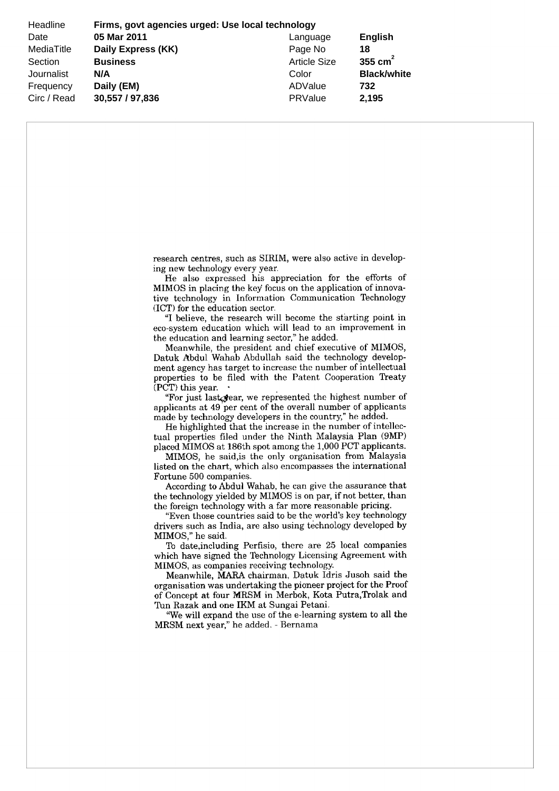Headline **Firms, govt agencies urged: Use local technology** Date **05 Mar 2011** Language **English** MediaTitle **Daily Express (KK)** Page No **18** Section **Business Business** Article Size **355 cm<sup>2</sup>** Journalist **N/A** Color **Black/white** Frequency **Daily (EM)** ADValue **732** Circ / Read **30,557 / 97,836** PRValue **2,195**

> research centres, such as SIRIM, were also active in developing new technology every year

He also expressed his appreciation for the efforts of MIMOS in placing the key focus on the application of innova tive technology in Information Communication Technology (ICT) for the education sector.

"I believe, the research will become the starting point in eco system education which will lead to an improvement in the education and learning sector," he added

Meanwhile, the president and chief executive of MIMOS Datuk Abdul Wahab Abdullah said the technology develop ment agency has target to increase the number of intellectual properties to be filed with the Patent Cooperation Treaty  $(PCT)$  this year.

"For just last gear, we represented the highest number of applicants at 49 per cent of the overall number of applicants made by technology developers in the country," he added.

He highlighted that the increase in the number of intellec tual properties filed under the Ninth Malaysia Plan (9MP) placed MIMOS at 186th spot among the 1,000 PCT applicants.

MIMOS, he said, is the only organisation from Malaysia listed on the chart, which also encompasses the international Fortune 500 companies

According to Abdul Wahab, he can give the assurance that the technology yielded by MIMOS is on par, if not better, than the foreign technology with <sup>a</sup> far more reasonable pricing

"Even those countries said to be the world's key technology drivers such as India, are also using technology developed by MIMOS." he said.

To date, including Perfisio, there are 25 local companies which have signed the Technology Licensing Agreement with MIMOS, as companies receiving technology.

Meanwhile, MARA chairman, Datuk Idris Jusoh said the organisation was undertaking the pioneer project for the Proof of Concept at four MRSM in Merbok, Kota Putra, Trolak and Tun Razak and one IKM at Sungai Petani.

We will expand the use of the <sup>e</sup> leaming system to all the MRSM next year," he added. - Bernama